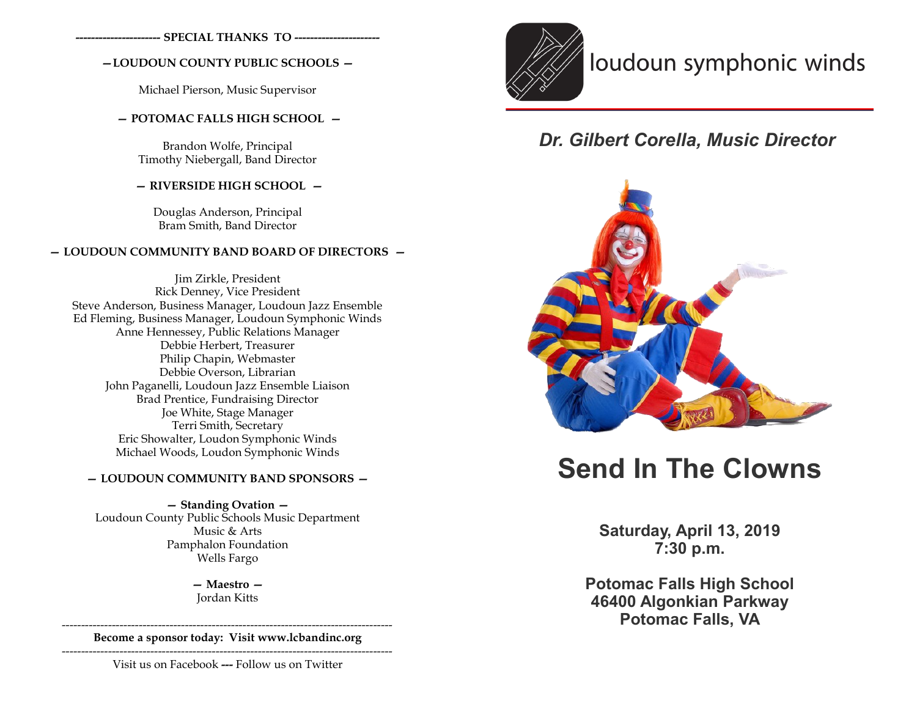**---------------------- SPECIAL THANKS TO ----------------------**

## **—LOUDOUN COUNTY PUBLIC SCHOOLS —**

Michael Pierson, Music Supervisor

## **— POTOMAC FALLS HIGH SCHOOL —**

Brandon Wolfe, Principal Timothy Niebergall, Band Director

## **— RIVERSIDE HIGH SCHOOL —**

Douglas Anderson, Principal Bram Smith, Band Director

#### **— LOUDOUN COMMUNITY BAND BOARD OF DIRECTORS —**

Jim Zirkle, President Rick Denney, Vice President Steve Anderson, Business Manager, Loudoun Jazz Ensemble Ed Fleming, Business Manager, Loudoun Symphonic Winds Anne Hennessey, Public Relations Manager Debbie Herbert, Treasurer Philip Chapin, Webmaster Debbie Overson, Librarian John Paganelli, Loudoun Jazz Ensemble Liaison Brad Prentice, Fundraising Director Joe White, Stage Manager Terri Smith, Secretary Eric Showalter, Loudon Symphonic Winds Michael Woods, Loudon Symphonic Winds

#### **— LOUDOUN COMMUNITY BAND SPONSORS —**

**— Standing Ovation —**  Loudoun County Public Schools Music Department Music & Arts Pamphalon Foundation Wells Fargo

> **— Maestro —** Jordan Kitts

-------------------------------------------------------------------------------------- **Become a sponsor today: Visit www.lcbandinc.org**

--------------------------------------------------------------------------------------

Visit us on Facebook **---** Follow us on Twitter



# loudoun symphonic winds

## *Dr. Gilbert Corella, Music Director*



# **Send In The Clowns**

**Saturday, April 13, 2019 7:30 p.m.**

**Potomac Falls High School 46400 Algonkian Parkway Potomac Falls, VA**